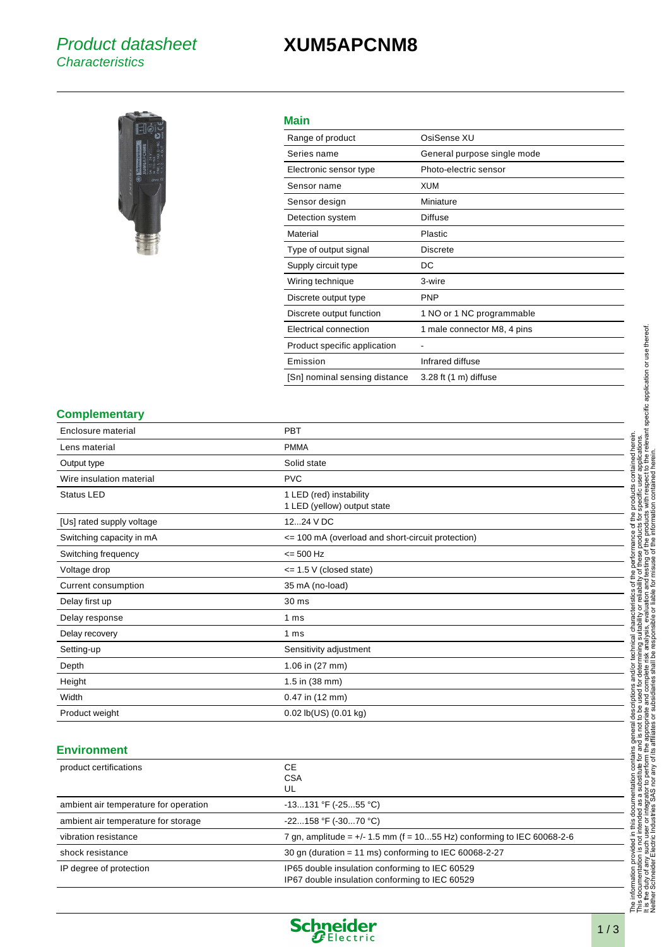### Product datasheet **Characteristics**

## **XUM5APCNM8**



#### **Main**

| Range of product              | OsiSense XU                       |
|-------------------------------|-----------------------------------|
| Series name                   | General purpose single mode       |
| Electronic sensor type        | Photo-electric sensor             |
| Sensor name                   | XUM                               |
| Sensor design                 | Miniature                         |
| Detection system              | <b>Diffuse</b>                    |
| Material                      | Plastic                           |
| Type of output signal         | Discrete                          |
| Supply circuit type           | DC                                |
| Wiring technique              | 3-wire                            |
| Discrete output type          | <b>PNP</b>                        |
| Discrete output function      | 1 NO or 1 NC programmable         |
| Electrical connection         | 1 male connector M8, 4 pins       |
| Product specific application  |                                   |
| Emission                      | Infrared diffuse                  |
| [Sn] nominal sensing distance | $3.28$ ft $(1 \text{ m})$ diffuse |
|                               |                                   |

#### **Complementary**

| Enclosure material        | <b>PBT</b>                                             |
|---------------------------|--------------------------------------------------------|
| Lens material             | <b>PMMA</b>                                            |
| Output type               | Solid state                                            |
| Wire insulation material  | <b>PVC</b>                                             |
| <b>Status LED</b>         | 1 LED (red) instability<br>1 LED (yellow) output state |
| [Us] rated supply voltage | 1224 V DC                                              |
| Switching capacity in mA  | <= 100 mA (overload and short-circuit protection)      |
| Switching frequency       | $= 500$ Hz                                             |
| Voltage drop              | $\leq$ 1.5 V (closed state)                            |
| Current consumption       | 35 mA (no-load)                                        |
| Delay first up            | 30 ms                                                  |
| Delay response            | 1 ms                                                   |
| Delay recovery            | 1 <sub>ms</sub>                                        |
| Setting-up                | Sensitivity adjustment                                 |
| Depth                     | 1.06 in (27 mm)                                        |
| Height                    | 1.5 in (38 mm)                                         |
| Width                     | 0.47 in (12 mm)                                        |
| Product weight            | 0.02 lb(US) (0.01 kg)                                  |

#### **Environment**

| product certifications                | CЕ<br><b>CSA</b><br>UL                                                                           |
|---------------------------------------|--------------------------------------------------------------------------------------------------|
| ambient air temperature for operation | $-13131$ °F ( $-2555$ °C)                                                                        |
| ambient air temperature for storage   | $-22158$ °F ( $-3070$ °C)                                                                        |
| vibration resistance                  | 7 gn, amplitude = $+/- 1.5$ mm (f = 1055 Hz) conforming to IEC 60068-2-6                         |
| shock resistance                      | 30 gn (duration = 11 ms) conforming to IEC 60068-2-27                                            |
| IP degree of protection               | IP65 double insulation conforming to IEC 60529<br>IP67 double insulation conforming to IEC 60529 |



 $\overline{\phantom{0}}$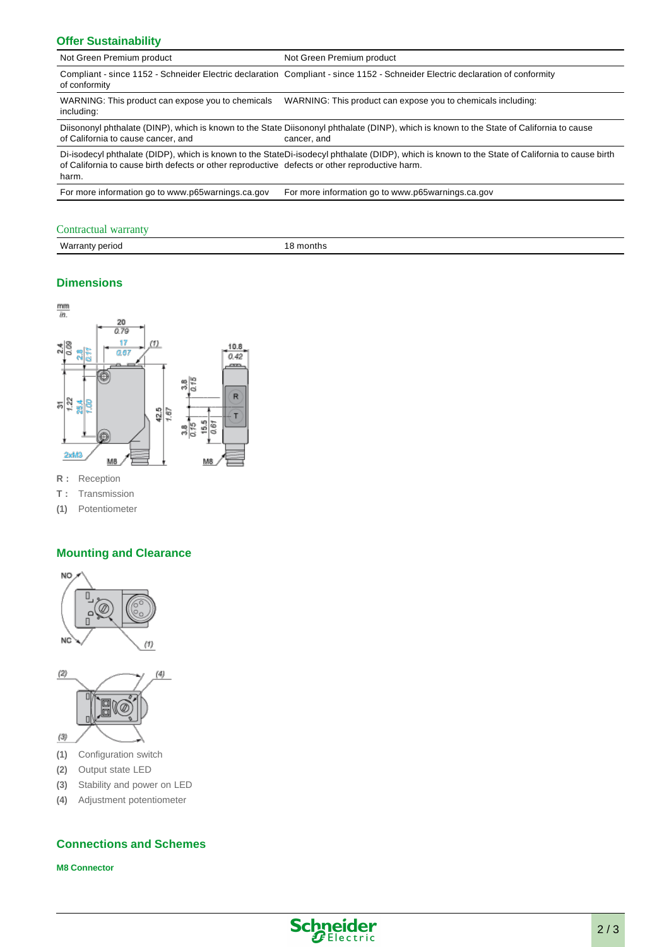#### **Offer Sustainability**

| Not Green Premium product                                                                                                                                                                                                                                  | Not Green Premium product                                                                                                                               |  |
|------------------------------------------------------------------------------------------------------------------------------------------------------------------------------------------------------------------------------------------------------------|---------------------------------------------------------------------------------------------------------------------------------------------------------|--|
| of conformity                                                                                                                                                                                                                                              | Compliant - since 1152 - Schneider Electric declaration Compliant - since 1152 - Schneider Electric declaration of conformity                           |  |
| WARNING: This product can expose you to chemicals<br>including:                                                                                                                                                                                            | WARNING: This product can expose you to chemicals including:                                                                                            |  |
| of California to cause cancer, and                                                                                                                                                                                                                         | Diisononyl phthalate (DINP), which is known to the State Diisononyl phthalate (DINP), which is known to the State of California to cause<br>cancer, and |  |
| Di-isodecyl phthalate (DIDP), which is known to the StateDi-isodecyl phthalate (DIDP), which is known to the State of California to cause birth<br>of California to cause birth defects or other reproductive defects or other reproductive harm.<br>harm. |                                                                                                                                                         |  |
|                                                                                                                                                                                                                                                            |                                                                                                                                                         |  |

For more information go to www.p65warnings.ca.gov For more information go to www.p65warnings.ca.gov

#### Contractual warranty

| Warran<br>' period<br>rantv<br>. | montns |
|----------------------------------|--------|
|                                  |        |

#### **Dimensions**



**R :** Reception

**T :** Transmission

**(1)** Potentiometer

#### **Mounting and Clearance**





**(1)** Configuration switch

**(2)** Output state LED

- **(3)** Stability and power on LED
- **(4)** Adjustment potentiometer

#### **Connections and Schemes**

**M8 Connector**

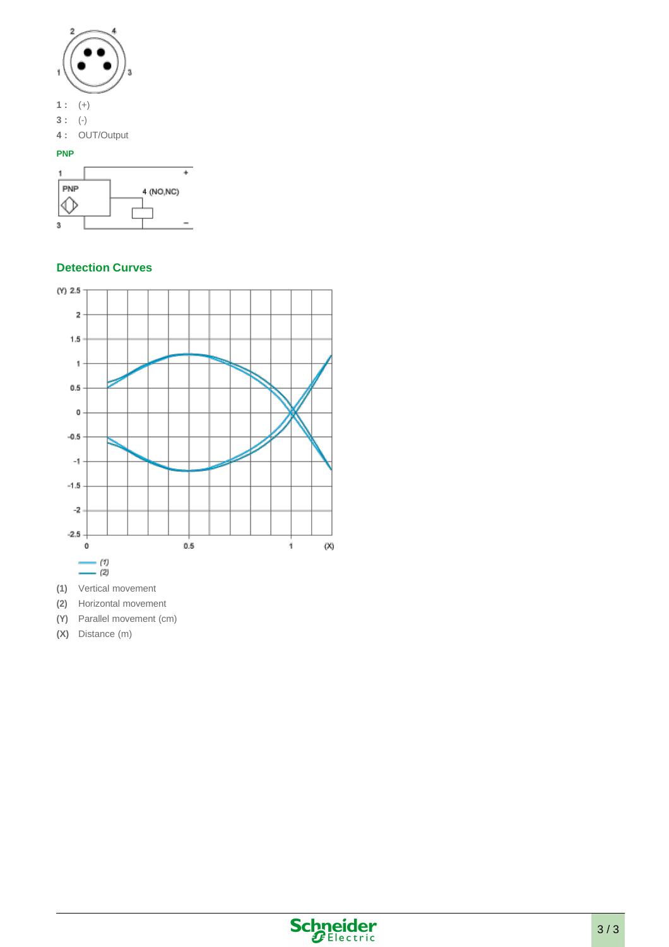

#### **Detection Curves**



- **(1)** Vertical movement
- **(2)** Horizontal movement
- **(Y)** Parallel movement (cm)
- **(X)** Distance (m)